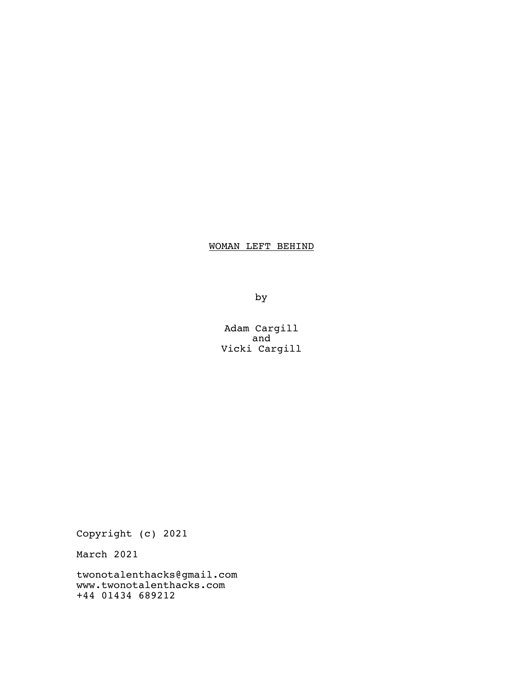# WOMAN LEFT BEHIND

by

Adam Cargill and Vicki Cargill

Copyright (c) 2021

March 2021

twonotalenthacks@gmail.com www.twonotalenthacks.com +44 01434 689212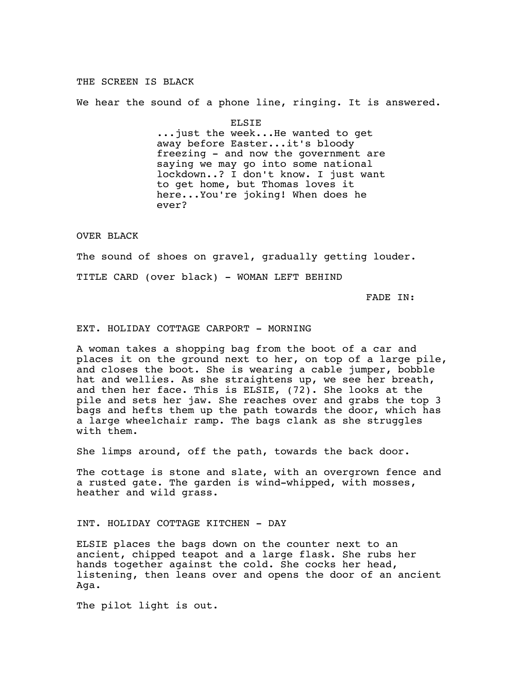### THE SCREEN IS BLACK

We hear the sound of a phone line, ringing. It is answered.

ELSIE ...just the week...He wanted to get away before Easter...it's bloody freezing - and now the government are saying we may go into some national lockdown..? I don't know. I just want to get home, but Thomas loves it here...You're joking! When does he ever?

### OVER BLACK

The sound of shoes on gravel, gradually getting louder. TITLE CARD (over black) - WOMAN LEFT BEHIND

# FADE IN:

### EXT. HOLIDAY COTTAGE CARPORT - MORNING

A woman takes a shopping bag from the boot of a car and places it on the ground next to her, on top of a large pile, and closes the boot. She is wearing a cable jumper, bobble hat and wellies. As she straightens up, we see her breath, and then her face. This is ELSIE, (72). She looks at the pile and sets her jaw. She reaches over and grabs the top 3 bags and hefts them up the path towards the door, which has a large wheelchair ramp. The bags clank as she struggles with them.

She limps around, off the path, towards the back door.

The cottage is stone and slate, with an overgrown fence and a rusted gate. The garden is wind-whipped, with mosses, heather and wild grass.

INT. HOLIDAY COTTAGE KITCHEN - DAY

ELSIE places the bags down on the counter next to an ancient, chipped teapot and a large flask. She rubs her hands together against the cold. She cocks her head, listening, then leans over and opens the door of an ancient Aga.

The pilot light is out.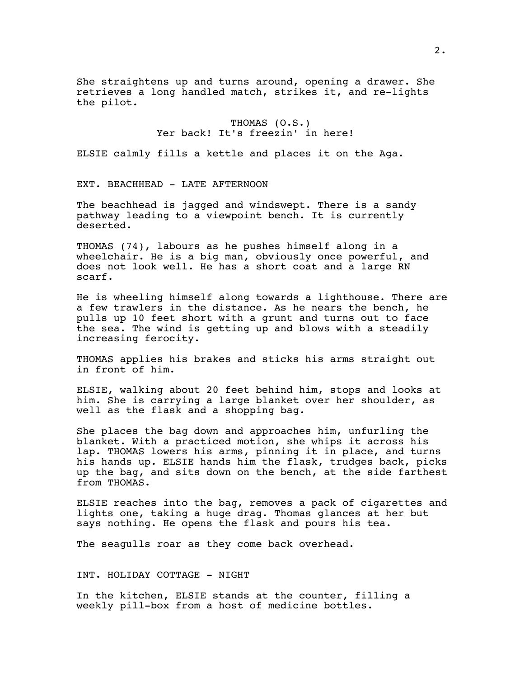She straightens up and turns around, opening a drawer. She retrieves a long handled match, strikes it, and re-lights the pilot.

> THOMAS (O.S.) Yer back! It's freezin' in here!

ELSIE calmly fills a kettle and places it on the Aga.

EXT. BEACHHEAD - LATE AFTERNOON

The beachhead is jagged and windswept. There is a sandy pathway leading to a viewpoint bench. It is currently deserted.

THOMAS (74), labours as he pushes himself along in a wheelchair. He is a big man, obviously once powerful, and does not look well. He has a short coat and a large RN scarf.

He is wheeling himself along towards a lighthouse. There are a few trawlers in the distance. As he nears the bench, he pulls up 10 feet short with a grunt and turns out to face the sea. The wind is getting up and blows with a steadily increasing ferocity.

THOMAS applies his brakes and sticks his arms straight out in front of him.

ELSIE, walking about 20 feet behind him, stops and looks at him. She is carrying a large blanket over her shoulder, as well as the flask and a shopping bag.

She places the bag down and approaches him, unfurling the blanket. With a practiced motion, she whips it across his lap. THOMAS lowers his arms, pinning it in place, and turns his hands up. ELSIE hands him the flask, trudges back, picks up the bag, and sits down on the bench, at the side farthest from THOMAS.

ELSIE reaches into the bag, removes a pack of cigarettes and lights one, taking a huge drag. Thomas glances at her but says nothing. He opens the flask and pours his tea.

The seagulls roar as they come back overhead.

# INT. HOLIDAY COTTAGE - NIGHT

In the kitchen, ELSIE stands at the counter, filling a weekly pill-box from a host of medicine bottles.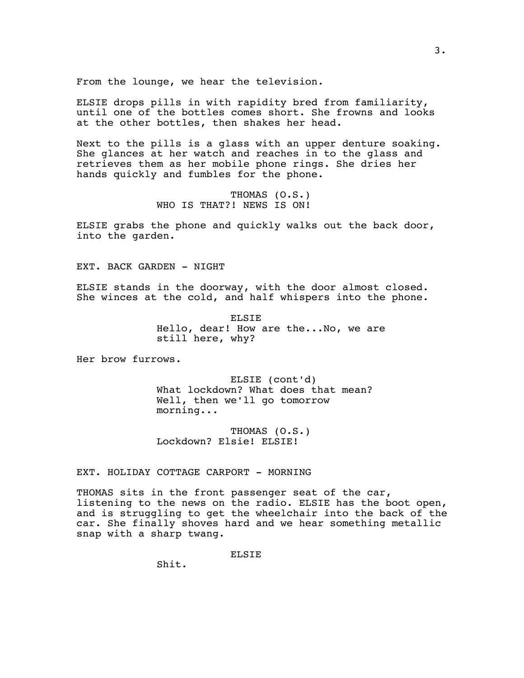From the lounge, we hear the television.

ELSIE drops pills in with rapidity bred from familiarity, until one of the bottles comes short. She frowns and looks at the other bottles, then shakes her head.

Next to the pills is a glass with an upper denture soaking. She glances at her watch and reaches in to the glass and retrieves them as her mobile phone rings. She dries her hands quickly and fumbles for the phone.

> THOMAS (O.S.) WHO IS THAT?! NEWS IS ON!

ELSIE grabs the phone and quickly walks out the back door, into the garden.

EXT. BACK GARDEN - NIGHT

ELSIE stands in the doorway, with the door almost closed. She winces at the cold, and half whispers into the phone.

> ELSIE Hello, dear! How are the...No, we are still here, why?

Her brow furrows.

ELSIE (cont'd) What lockdown? What does that mean? Well, then we'll go tomorrow morning...

THOMAS (O.S.) Lockdown? Elsie! ELSIE!

EXT. HOLIDAY COTTAGE CARPORT - MORNING

THOMAS sits in the front passenger seat of the car, listening to the news on the radio. ELSIE has the boot open, and is struggling to get the wheelchair into the back of the car. She finally shoves hard and we hear something metallic snap with a sharp twang.

**ELSIE** 

Shit.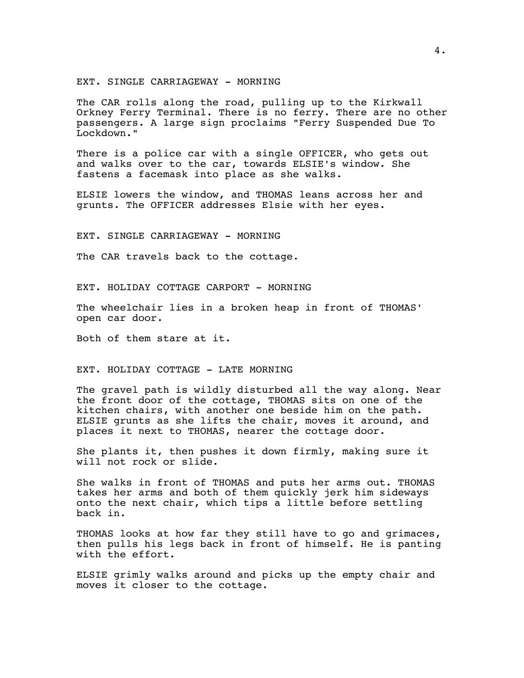EXT. SINGLE CARRIAGEWAY - MORNING

The CAR rolls along the road, pulling up to the Kirkwall Orkney Ferry Terminal. There is no ferry. There are no other passengers. A large sign proclaims "Ferry Suspended Due To Lockdown."

There is a police car with a single OFFICER, who gets out and walks over to the car, towards ELSIE's window. She fastens a facemask into place as she walks.

ELSIE lowers the window, and THOMAS leans across her and grunts. The OFFICER addresses Elsie with her eyes.

EXT. SINGLE CARRIAGEWAY - MORNING

The CAR travels back to the cottage.

EXT. HOLIDAY COTTAGE CARPORT - MORNING

The wheelchair lies in a broken heap in front of THOMAS' open car door.

Both of them stare at it.

EXT. HOLIDAY COTTAGE - LATE MORNING

The gravel path is wildly disturbed all the way along. Near the front door of the cottage, THOMAS sits on one of the kitchen chairs, with another one beside him on the path. ELSIE grunts as she lifts the chair, moves it around, and places it next to THOMAS, nearer the cottage door.

She plants it, then pushes it down firmly, making sure it will not rock or slide.

She walks in front of THOMAS and puts her arms out. THOMAS takes her arms and both of them quickly jerk him sideways onto the next chair, which tips a little before settling back in.

THOMAS looks at how far they still have to go and grimaces, then pulls his legs back in front of himself. He is panting with the effort.

ELSIE grimly walks around and picks up the empty chair and moves it closer to the cottage.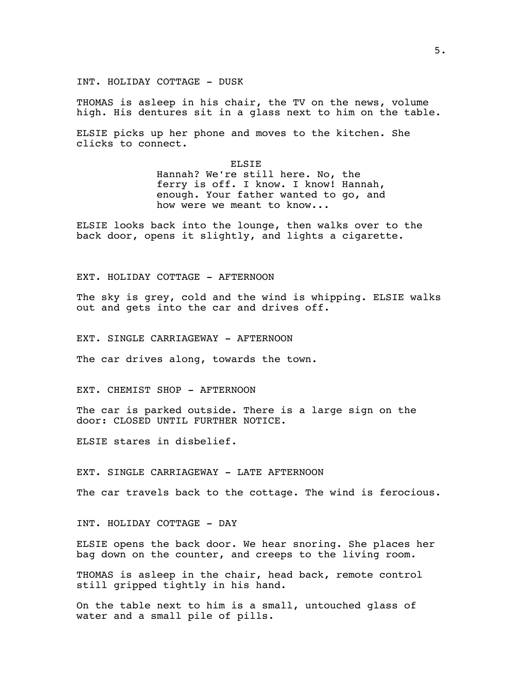INT. HOLIDAY COTTAGE - DUSK

THOMAS is asleep in his chair, the TV on the news, volume high. His dentures sit in a glass next to him on the table.

ELSIE picks up her phone and moves to the kitchen. She clicks to connect.

> ELSIE Hannah? We're still here. No, the ferry is off. I know. I know! Hannah, enough. Your father wanted to go, and how were we meant to know...

ELSIE looks back into the lounge, then walks over to the back door, opens it slightly, and lights a cigarette.

EXT. HOLIDAY COTTAGE - AFTERNOON

The sky is grey, cold and the wind is whipping. ELSIE walks out and gets into the car and drives off.

EXT. SINGLE CARRIAGEWAY - AFTERNOON

The car drives along, towards the town.

EXT. CHEMIST SHOP - AFTERNOON

The car is parked outside. There is a large sign on the door: CLOSED UNTIL FURTHER NOTICE.

ELSIE stares in disbelief.

EXT. SINGLE CARRIAGEWAY - LATE AFTERNOON

The car travels back to the cottage. The wind is ferocious.

INT. HOLIDAY COTTAGE - DAY

ELSIE opens the back door. We hear snoring. She places her bag down on the counter, and creeps to the living room.

THOMAS is asleep in the chair, head back, remote control still gripped tightly in his hand.

On the table next to him is a small, untouched glass of water and a small pile of pills.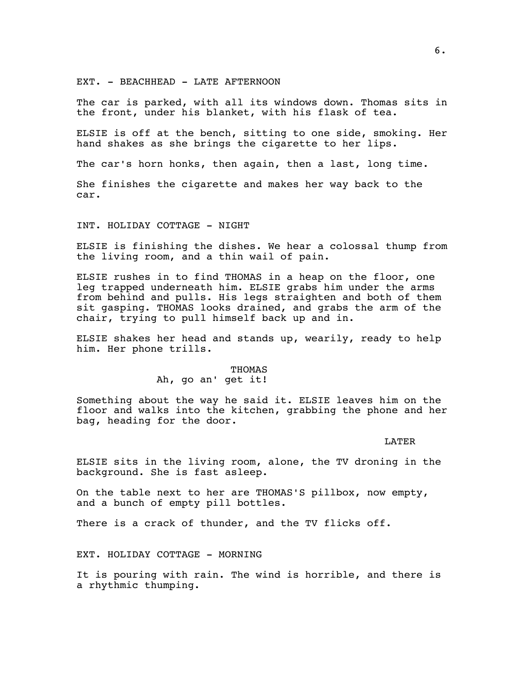EXT. - BEACHHEAD - LATE AFTERNOON

The car is parked, with all its windows down. Thomas sits in the front, under his blanket, with his flask of tea.

ELSIE is off at the bench, sitting to one side, smoking. Her hand shakes as she brings the cigarette to her lips.

The car's horn honks, then again, then a last, long time.

She finishes the cigarette and makes her way back to the car.

INT. HOLIDAY COTTAGE - NIGHT

ELSIE is finishing the dishes. We hear a colossal thump from the living room, and a thin wail of pain.

ELSIE rushes in to find THOMAS in a heap on the floor, one leg trapped underneath him. ELSIE grabs him under the arms from behind and pulls. His legs straighten and both of them sit gasping. THOMAS looks drained, and grabs the arm of the chair, trying to pull himself back up and in.

ELSIE shakes her head and stands up, wearily, ready to help him. Her phone trills.

> THOMAS Ah, go an' get it!

Something about the way he said it. ELSIE leaves him on the floor and walks into the kitchen, grabbing the phone and her bag, heading for the door.

LATER

ELSIE sits in the living room, alone, the TV droning in the background. She is fast asleep.

On the table next to her are THOMAS'S pillbox, now empty, and a bunch of empty pill bottles.

There is a crack of thunder, and the TV flicks off.

EXT. HOLIDAY COTTAGE - MORNING

It is pouring with rain. The wind is horrible, and there is a rhythmic thumping.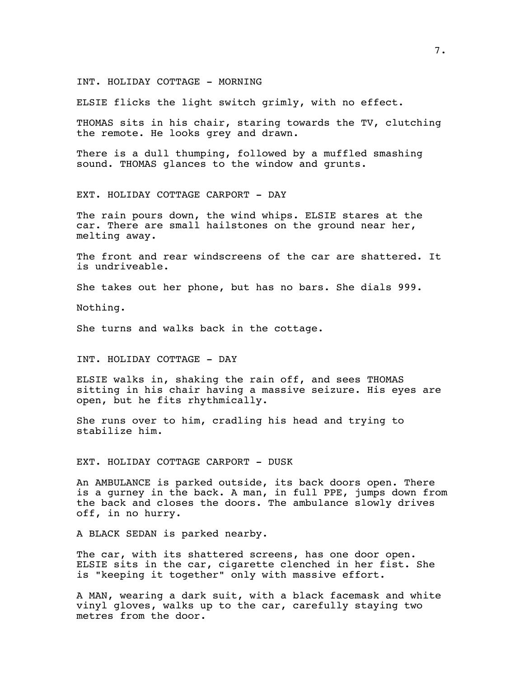#### INT. HOLIDAY COTTAGE - MORNING

ELSIE flicks the light switch grimly, with no effect.

THOMAS sits in his chair, staring towards the TV, clutching the remote. He looks grey and drawn.

There is a dull thumping, followed by a muffled smashing sound. THOMAS glances to the window and grunts.

EXT. HOLIDAY COTTAGE CARPORT - DAY

The rain pours down, the wind whips. ELSIE stares at the car. There are small hailstones on the ground near her, melting away.

The front and rear windscreens of the car are shattered. It is undriveable.

She takes out her phone, but has no bars. She dials 999.

Nothing.

She turns and walks back in the cottage.

INT. HOLIDAY COTTAGE - DAY

ELSIE walks in, shaking the rain off, and sees THOMAS sitting in his chair having a massive seizure. His eyes are open, but he fits rhythmically.

She runs over to him, cradling his head and trying to stabilize him.

### EXT. HOLIDAY COTTAGE CARPORT - DUSK

An AMBULANCE is parked outside, its back doors open. There is a gurney in the back. A man, in full PPE, jumps down from the back and closes the doors. The ambulance slowly drives off, in no hurry.

A BLACK SEDAN is parked nearby.

The car, with its shattered screens, has one door open. ELSIE sits in the car, cigarette clenched in her fist. She is "keeping it together" only with massive effort.

A MAN, wearing a dark suit, with a black facemask and white vinyl gloves, walks up to the car, carefully staying two metres from the door.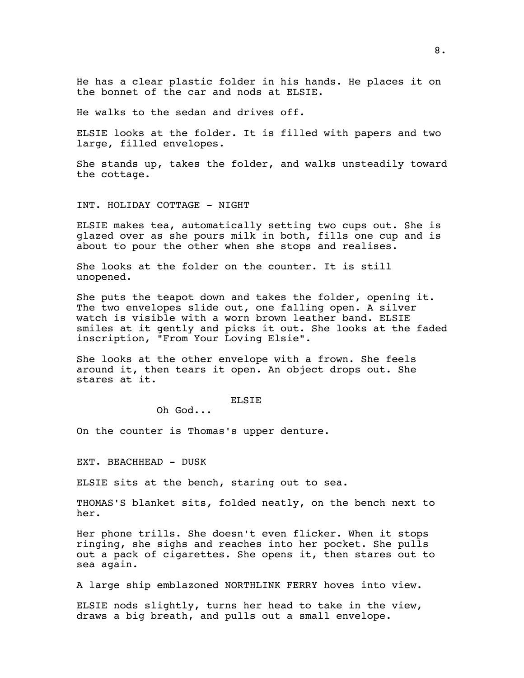He has a clear plastic folder in his hands. He places it on the bonnet of the car and nods at ELSIE.

He walks to the sedan and drives off.

ELSIE looks at the folder. It is filled with papers and two large, filled envelopes.

She stands up, takes the folder, and walks unsteadily toward the cottage.

### INT. HOLIDAY COTTAGE - NIGHT

ELSIE makes tea, automatically setting two cups out. She is glazed over as she pours milk in both, fills one cup and is about to pour the other when she stops and realises.

She looks at the folder on the counter. It is still unopened.

She puts the teapot down and takes the folder, opening it. The two envelopes slide out, one falling open. A silver watch is visible with a worn brown leather band. ELSIE smiles at it gently and picks it out. She looks at the faded inscription, "From Your Loving Elsie".

She looks at the other envelope with a frown. She feels around it, then tears it open. An object drops out. She stares at it.

### ELSIE

Oh God...

On the counter is Thomas's upper denture.

EXT. BEACHHEAD - DUSK

ELSIE sits at the bench, staring out to sea.

THOMAS'S blanket sits, folded neatly, on the bench next to her.

Her phone trills. She doesn't even flicker. When it stops ringing, she sighs and reaches into her pocket. She pulls out a pack of cigarettes. She opens it, then stares out to sea again.

A large ship emblazoned NORTHLINK FERRY hoves into view.

ELSIE nods slightly, turns her head to take in the view, draws a big breath, and pulls out a small envelope.